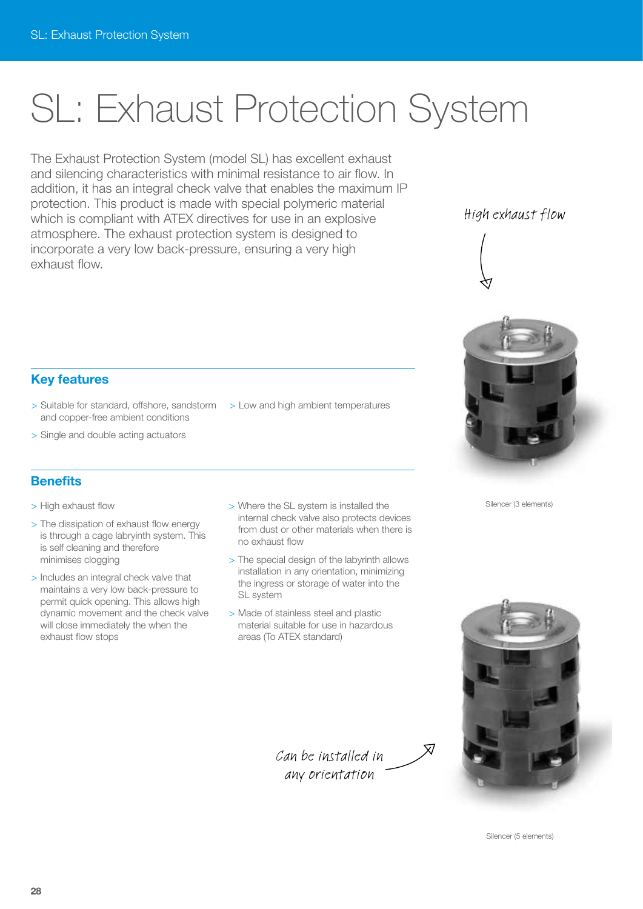# SL: Exhaust Protection System

The Exhaust Protection System (model SL) has excellent exhaust and silencing characteristics with minimal resistance to air flow. In addition, it has an integral check valve that enables the maximum IP protection. This product is made with special polymeric material which is compliant with ATEX directives for use in an explosive atmosphere. The exhaust protection system is designed to incorporate a very low back-pressure, ensuring a very high exhaust flow.

### High exhaust flow









#### **Key features**

- > Suitable for standard, offshore, sandstorm > Low and high ambient temperatures and copper-free ambient conditions
- > Single and double acting actuators

#### **Benefits**

- > High exhaust flow
- > The dissipation of exhaust flow energy is through a cage labryinth system. This is self cleaning and therefore minimises clogging
- > Includes an integral check valve that maintains a very low back-pressure to permit quick opening. This allows high dynamic movement and the check valve will close immediately the when the exhaust flow stops
- > Where the SL system is installed the internal check valve also protects devices from dust or other materials when there is no exhaust flow
- > The special design of the labyrinth allows installation in any orientation, minimizing the ingress or storage of water into the SL system
- > Made of stainless steel and plastic material suitable for use in hazardous areas (To ATEX standard)



 $\overline{\mathsf{x}}$ 

Silencer (5 elements)